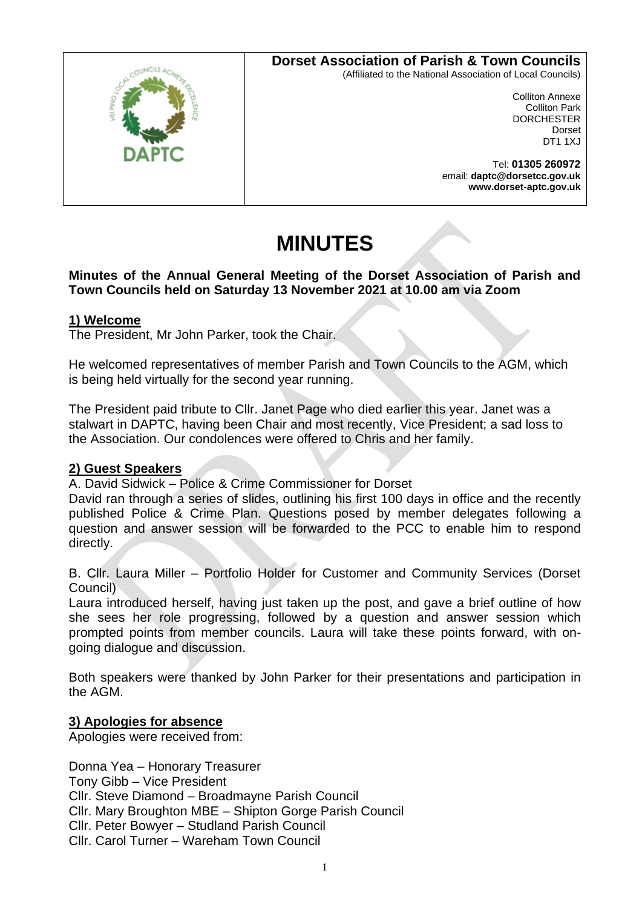# **Dorset Association of Parish & Town Councils**



(Affiliated to the National Association of Local Councils)

Colliton Annexe Colliton Park **DORCHESTER** Dorset DT1 1XJ

Tel: **01305 260972** email: **daptc@dorsetcc.gov.uk www.dorset-aptc.gov.uk**

# **MINUTES**

## **Minutes of the Annual General Meeting of the Dorset Association of Parish and Town Councils held on Saturday 13 November 2021 at 10.00 am via Zoom**

# **1) Welcome**

The President, Mr John Parker, took the Chair.

He welcomed representatives of member Parish and Town Councils to the AGM, which is being held virtually for the second year running.

The President paid tribute to Cllr. Janet Page who died earlier this year. Janet was a stalwart in DAPTC, having been Chair and most recently, Vice President; a sad loss to the Association. Our condolences were offered to Chris and her family.

# **2) Guest Speakers**

A. David Sidwick – Police & Crime Commissioner for Dorset

David ran through a series of slides, outlining his first 100 days in office and the recently published Police & Crime Plan. Questions posed by member delegates following a question and answer session will be forwarded to the PCC to enable him to respond directly.

B. Cllr. Laura Miller – Portfolio Holder for Customer and Community Services (Dorset Council)

Laura introduced herself, having just taken up the post, and gave a brief outline of how she sees her role progressing, followed by a question and answer session which prompted points from member councils. Laura will take these points forward, with ongoing dialogue and discussion.

Both speakers were thanked by John Parker for their presentations and participation in the AGM.

# **3) Apologies for absence**

Apologies were received from:

Donna Yea – Honorary Treasurer Tony Gibb – Vice President Cllr. Steve Diamond – Broadmayne Parish Council Cllr. Mary Broughton MBE – Shipton Gorge Parish Council Cllr. Peter Bowyer – Studland Parish Council Cllr. Carol Turner – Wareham Town Council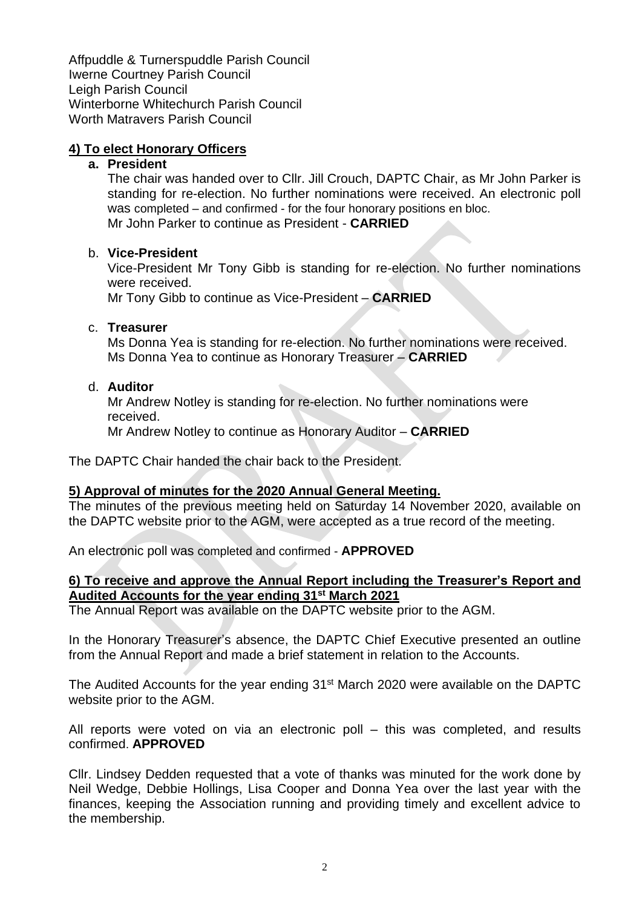Affpuddle & Turnerspuddle Parish Council Iwerne Courtney Parish Council Leigh Parish Council Winterborne Whitechurch Parish Council Worth Matravers Parish Council

# **4) To elect Honorary Officers**

#### **a. President**

The chair was handed over to Cllr. Jill Crouch, DAPTC Chair, as Mr John Parker is standing for re-election. No further nominations were received. An electronic poll was completed – and confirmed - for the four honorary positions en bloc. Mr John Parker to continue as President - **CARRIED**

#### b. **Vice-President**

Vice-President Mr Tony Gibb is standing for re-election. No further nominations were received.

Mr Tony Gibb to continue as Vice-President – **CARRIED**

#### c. **Treasurer**

Ms Donna Yea is standing for re-election. No further nominations were received. Ms Donna Yea to continue as Honorary Treasurer – **CARRIED**

#### d. **Auditor**

Mr Andrew Notley is standing for re-election. No further nominations were received.

Mr Andrew Notley to continue as Honorary Auditor – **CARRIED**

The DAPTC Chair handed the chair back to the President.

## **5) Approval of minutes for the 2020 Annual General Meeting.**

The minutes of the previous meeting held on Saturday 14 November 2020, available on the DAPTC website prior to the AGM, were accepted as a true record of the meeting.

An electronic poll was completed and confirmed - **APPROVED**

## **6) To receive and approve the Annual Report including the Treasurer's Report and Audited Accounts for the year ending 31st March 2021**

The Annual Report was available on the DAPTC website prior to the AGM.

In the Honorary Treasurer's absence, the DAPTC Chief Executive presented an outline from the Annual Report and made a brief statement in relation to the Accounts.

The Audited Accounts for the year ending 31<sup>st</sup> March 2020 were available on the DAPTC website prior to the AGM.

All reports were voted on via an electronic poll – this was completed, and results confirmed. **APPROVED**

Cllr. Lindsey Dedden requested that a vote of thanks was minuted for the work done by Neil Wedge, Debbie Hollings, Lisa Cooper and Donna Yea over the last year with the finances, keeping the Association running and providing timely and excellent advice to the membership.